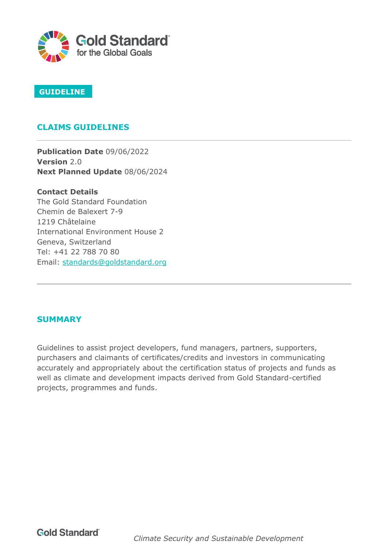

### **GUIDELINE**

## **CLAIMS GUIDELINES**

**Publication Date** 09/06/2022 **Version** 2.0 **Next Planned Update** 08/06/2024

**Contact Details**  The Gold Standard Foundation Chemin de Balexert 7-9 1219 Châtelaine International Environment House 2 Geneva, Switzerland Tel: +41 22 788 70 80 Email: [standards@goldstandard.org](mailto:standards@goldstandard.org)

### **SUMMARY**

Guidelines to assist project developers, fund managers, partners, supporters, purchasers and claimants of certificates/credits and investors in communicating accurately and appropriately about the certification status of projects and funds as well as climate and development impacts derived from Gold Standard-certified projects, programmes and funds.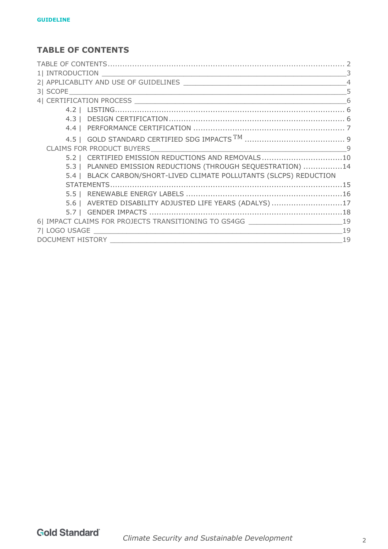# <span id="page-1-0"></span>**TABLE OF CONTENTS**

| $\mathcal{L}$                                                       |  |  |  |
|---------------------------------------------------------------------|--|--|--|
|                                                                     |  |  |  |
|                                                                     |  |  |  |
| 6                                                                   |  |  |  |
|                                                                     |  |  |  |
|                                                                     |  |  |  |
|                                                                     |  |  |  |
|                                                                     |  |  |  |
|                                                                     |  |  |  |
| 5.2   CERTIFIED EMISSION REDUCTIONS AND REMOVALS10                  |  |  |  |
| 5.3   PLANNED EMISSION REDUCTIONS (THROUGH SEQUESTRATION) 14        |  |  |  |
| 5.4   BLACK CARBON/SHORT-LIVED CLIMATE POLLUTANTS (SLCPS) REDUCTION |  |  |  |
|                                                                     |  |  |  |
|                                                                     |  |  |  |
| 5.6   AVERTED DISABILITY ADJUSTED LIFE YEARS (ADALYS) 17            |  |  |  |
|                                                                     |  |  |  |
| 6  IMPACT CLAIMS FOR PROJECTS TRANSITIONING TO GS4GG LATER LATER 19 |  |  |  |
| $\sim$ 19                                                           |  |  |  |
|                                                                     |  |  |  |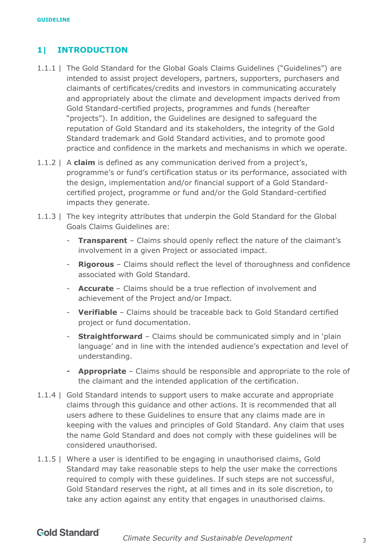## <span id="page-2-0"></span>**1| INTRODUCTION**

- 1.1.1 | The Gold Standard for the Global Goals Claims Guidelines ("Guidelines") are intended to assist project developers, partners, supporters, purchasers and claimants of certificates/credits and investors in communicating accurately and appropriately about the climate and development impacts derived from Gold Standard-certified projects, programmes and funds (hereafter "projects"). In addition, the Guidelines are designed to safeguard the reputation of Gold Standard and its stakeholders, the integrity of the Gold Standard trademark and Gold Standard activities, and to promote good practice and confidence in the markets and mechanisms in which we operate.
- 1.1.2 | A **claim** is defined as any communication derived from a project's, programme's or fund's certification status or its performance, associated with the design, implementation and/or financial support of a Gold Standardcertified project, programme or fund and/or the Gold Standard-certified impacts they generate.
- 1.1.3 | The key integrity attributes that underpin the Gold Standard for the Global Goals Claims Guidelines are:
	- **Transparent** Claims should openly reflect the nature of the claimant's involvement in a given Project or associated impact.
	- **Rigorous** Claims should reflect the level of thoroughness and confidence associated with Gold Standard.
	- **Accurate** Claims should be a true reflection of involvement and achievement of the Project and/or Impact.
	- **Verifiable** Claims should be traceable back to Gold Standard certified project or fund documentation.
	- **Straightforward** Claims should be communicated simply and in 'plain language' and in line with the intended audience's expectation and level of understanding.
	- **Appropriate** Claims should be responsible and appropriate to the role of the claimant and the intended application of the certification.
- 1.1.4 | Gold Standard intends to support users to make accurate and appropriate claims through this guidance and other actions. It is recommended that all users adhere to these Guidelines to ensure that any claims made are in keeping with the values and principles of Gold Standard. Any claim that uses the name Gold Standard and does not comply with these guidelines will be considered unauthorised.
- 1.1.5 | Where a user is identified to be engaging in unauthorised claims, Gold Standard may take reasonable steps to help the user make the corrections required to comply with these guidelines. If such steps are not successful, Gold Standard reserves the right, at all times and in its sole discretion, to take any action against any entity that engages in unauthorised claims.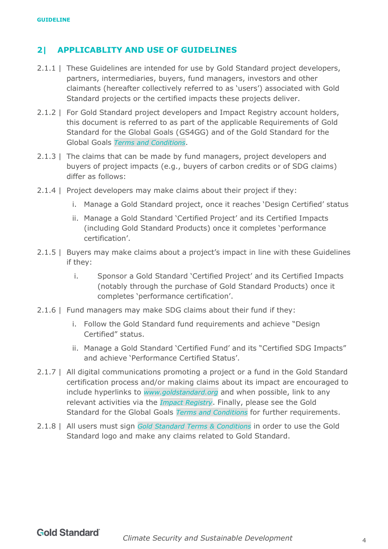## <span id="page-3-0"></span>**2| APPLICABLITY AND USE OF GUIDELINES**

- 2.1.1 | These Guidelines are intended for use by Gold Standard project developers, partners, intermediaries, buyers, fund managers, investors and other claimants (hereafter collectively referred to as 'users') associated with Gold Standard projects or the certified impacts these projects deliver.
- 2.1.2 | For Gold Standard project developers and Impact Registry account holders, this document is referred to as part of the applicable Requirements of Gold Standard for the Global Goals (GS4GG) and of the Gold Standard for the Global Goals *[Terms and Conditions](https://globalgoals.goldstandard.org/t-prereview-terms-and-conditions/)*.
- 2.1.3 | The claims that can be made by fund managers, project developers and buyers of project impacts (e.g., buyers of carbon credits or of SDG claims) differ as follows:
- 2.1.4 | Project developers may make claims about their project if they:
	- i. Manage a Gold Standard project, once it reaches 'Design Certified' status
	- ii. Manage a Gold Standard 'Certified Project' and its Certified Impacts (including Gold Standard Products) once it completes 'performance certification'.
- 2.1.5 | Buyers may make claims about a project's impact in line with these Guidelines if they:
	- i. Sponsor a Gold Standard 'Certified Project' and its Certified Impacts (notably through the purchase of Gold Standard Products) once it completes 'performance certification'.
- 2.1.6 | Fund managers may make SDG claims about their fund if they:
	- i. Follow the Gold Standard fund requirements and achieve "Design Certified" status.
	- ii. Manage a Gold Standard 'Certified Fund' and its "Certified SDG Impacts" and achieve 'Performance Certified Status'.
- 2.1.7 | All digital communications promoting a project or a fund in the Gold Standard certification process and/or making claims about its impact are encouraged to include hyperlinks to *[www.goldstandard.org](http://www.goldstandard.org/)* and when possible, link to any relevant activities via the *[Impact Registry](https://registry.goldstandard.org/)*. Finally, please see the Gold Standard for the Global Goals *[Terms and Conditions](https://globalgoals.goldstandard.org/t-prereview-terms-and-conditions/)* for further requirements.
- 2.1.8 | All users must sign *[Gold Standard Terms & Conditions](https://globalgoals.goldstandard.org/t-prereview-terms-and-conditions/)* in order to use the Gold Standard logo and make any claims related to Gold Standard.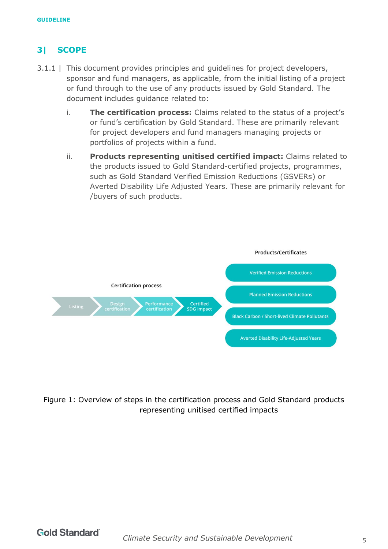# <span id="page-4-0"></span>**3| SCOPE**

- 3.1.1 | This document provides principles and guidelines for project developers, sponsor and fund managers, as applicable, from the initial listing of a project or fund through to the use of any products issued by Gold Standard. The document includes guidance related to:
	- i. **The certification process:** Claims related to the status of a project's or fund's certification by Gold Standard. These are primarily relevant for project developers and fund managers managing projects or portfolios of projects within a fund.
	- ii. **Products representing unitised certified impact:** Claims related to the products issued to Gold Standard-certified projects, programmes, such as Gold Standard Verified Emission Reductions (GSVERs) or Averted Disability Life Adjusted Years. These are primarily relevant for /buyers of such products.



Figure 1: Overview of steps in the certification process and Gold Standard products representing unitised certified impacts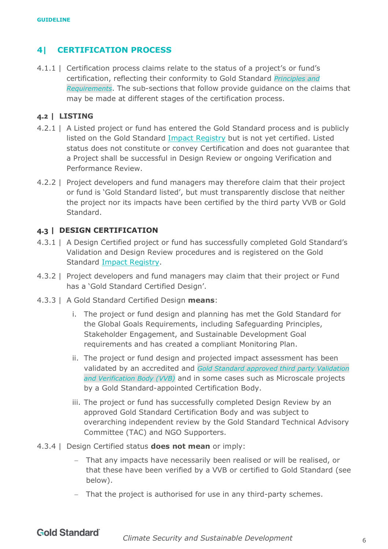## <span id="page-5-0"></span>**4| CERTIFICATION PROCESS**

4.1.1 | Certification process claims relate to the status of a project's or fund's certification, reflecting their conformity to Gold Standard *[Principles and](https://globalgoals.goldstandard.org/101-par-principles-requirements/)  [Requirements](https://globalgoals.goldstandard.org/101-par-principles-requirements/)*. The sub-sections that follow provide guidance on the claims that may be made at different stages of the certification process.

### <span id="page-5-1"></span>**4.2 | LISTING**

- 4.2.1 | A Listed project or fund has entered the Gold Standard process and is publicly listed on the Gold Standard [Impact Registry](https://registry.goldstandard.org/projects?q=&page=1) but is not yet certified. Listed status does not constitute or convey Certification and does not guarantee that a Project shall be successful in Design Review or ongoing Verification and Performance Review.
- 4.2.2 | Project developers and fund managers may therefore claim that their project or fund is 'Gold Standard listed', but must transparently disclose that neither the project nor its impacts have been certified by the third party VVB or Gold Standard.

### <span id="page-5-2"></span>**4.3 | DESIGN CERTIFICATION**

- 4.3.1 | A Design Certified project or fund has successfully completed Gold Standard's Validation and Design Review procedures and is registered on the Gold Standard [Impact Registry.](https://registry.goldstandard.org/projects?q=&page=1)
- 4.3.2 | Project developers and fund managers may claim that their project or Fund has a 'Gold Standard Certified Design'.
- 4.3.3 | A Gold Standard Certified Design **means**:
	- i. The project or fund design and planning has met the Gold Standard for the Global Goals Requirements, including Safeguarding Principles, Stakeholder Engagement, and Sustainable Development Goal requirements and has created a compliant Monitoring Plan.
	- ii. The project or fund design and projected impact assessment has been validated by an accredited and *Gold Standard approved third party [Validation](https://globalgoals.goldstandard.org/approved-auditors/)  [and Verification Body \(VVB\)](https://globalgoals.goldstandard.org/approved-auditors/)* and in some cases such as Microscale projects by a Gold Standard-appointed Certification Body.
	- iii. The project or fund has successfully completed Design Review by an approved Gold Standard Certification Body and was subject to overarching independent review by the Gold Standard Technical Advisory Committee (TAC) and NGO Supporters.
- 4.3.4 | Design Certified status **does not mean** or imply:
	- − That any impacts have necessarily been realised or will be realised, or that these have been verified by a VVB or certified to Gold Standard (see below).
	- − That the project is authorised for use in any third-party schemes.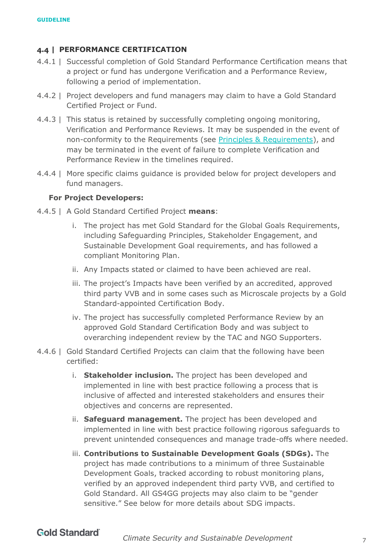### <span id="page-6-0"></span>**4.4 | PERFORMANCE CERTIFICATION**

- 4.4.1 | Successful completion of Gold Standard Performance Certification means that a project or fund has undergone Verification and a Performance Review, following a period of implementation.
- 4.4.2 | Project developers and fund managers may claim to have a Gold Standard Certified Project or Fund.
- 4.4.3 | This status is retained by successfully completing ongoing monitoring, Verification and Performance Reviews. It may be suspended in the event of non-conformity to the Requirements (see [Principles & Requirements\)](https://globalgoals.goldstandard.org/101-par-principles-requirements/), and may be terminated in the event of failure to complete Verification and Performance Review in the timelines required.
- 4.4.4 | More specific claims guidance is provided below for project developers and fund managers.

#### **For Project Developers:**

- 4.4.5 | A Gold Standard Certified Project **means**:
	- i. The project has met Gold Standard for the Global Goals Requirements, including Safeguarding Principles, Stakeholder Engagement, and Sustainable Development Goal requirements, and has followed a compliant Monitoring Plan.
	- ii. Any Impacts stated or claimed to have been achieved are real.
	- iii. The project's Impacts have been verified by an accredited, approved third party VVB and in some cases such as Microscale projects by a Gold Standard-appointed Certification Body.
	- iv. The project has successfully completed Performance Review by an approved Gold Standard Certification Body and was subject to overarching independent review by the TAC and NGO Supporters.
- 4.4.6 | Gold Standard Certified Projects can claim that the following have been certified:
	- i. **Stakeholder inclusion.** The project has been developed and implemented in line with best practice following a process that is inclusive of affected and interested stakeholders and ensures their objectives and concerns are represented.
	- ii. **Safeguard management.** The project has been developed and implemented in line with best practice following rigorous safeguards to prevent unintended consequences and manage trade-offs where needed.
	- iii. **Contributions to Sustainable Development Goals (SDGs).** The project has made contributions to a minimum of three Sustainable Development Goals, tracked according to robust monitoring plans, verified by an approved independent third party VVB, and certified to Gold Standard. All GS4GG projects may also claim to be "gender sensitive." See below for more details about SDG impacts.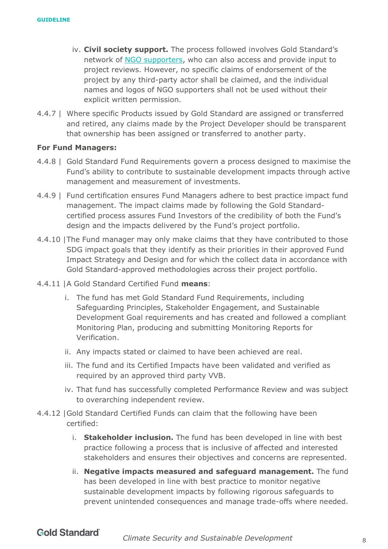- iv. **Civil society support.** The process followed involves Gold Standard's network of [NGO supporters,](https://www.goldstandard.org/about-us/ngo-supporters) who can also access and provide input to project reviews. However, no specific claims of endorsement of the project by any third-party actor shall be claimed, and the individual names and logos of NGO supporters shall not be used without their explicit written permission.
- 4.4.7 | Where specific Products issued by Gold Standard are assigned or transferred and retired, any claims made by the Project Developer should be transparent that ownership has been assigned or transferred to another party.

#### **For Fund Managers:**

- 4.4.8 | Gold Standard Fund Requirements govern a process designed to maximise the Fund's ability to contribute to sustainable development impacts through active management and measurement of investments.
- 4.4.9 | Fund certification ensures Fund Managers adhere to best practice impact fund management. The impact claims made by following the Gold Standardcertified process assures Fund Investors of the credibility of both the Fund's design and the impacts delivered by the Fund's project portfolio.
- 4.4.10 |The Fund manager may only make claims that they have contributed to those SDG impact goals that they identify as their priorities in their approved Fund Impact Strategy and Design and for which the collect data in accordance with Gold Standard-approved methodologies across their project portfolio.
- 4.4.11 |A Gold Standard Certified Fund **means**:
	- i. The fund has met Gold Standard Fund Requirements, including Safeguarding Principles, Stakeholder Engagement, and Sustainable Development Goal requirements and has created and followed a compliant Monitoring Plan, producing and submitting Monitoring Reports for Verification.
	- ii. Any impacts stated or claimed to have been achieved are real.
	- iii. The fund and its Certified Impacts have been validated and verified as required by an approved third party VVB.
	- iv. That fund has successfully completed Performance Review and was subject to overarching independent review.
- 4.4.12 |Gold Standard Certified Funds can claim that the following have been certified:
	- i. **Stakeholder inclusion.** The fund has been developed in line with best practice following a process that is inclusive of affected and interested stakeholders and ensures their objectives and concerns are represented.
	- ii. **Negative impacts measured and safeguard management.** The fund has been developed in line with best practice to monitor negative sustainable development impacts by following rigorous safeguards to prevent unintended consequences and manage trade-offs where needed.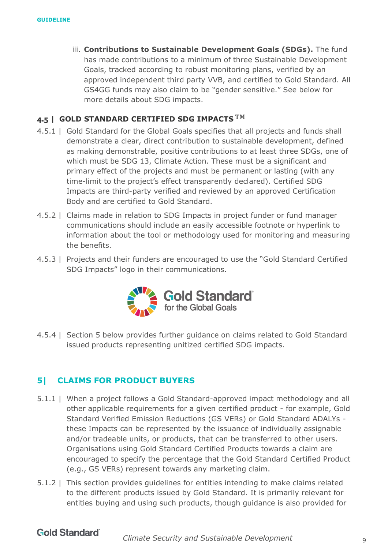iii. **Contributions to Sustainable Development Goals (SDGs).** The fund has made contributions to a minimum of three Sustainable Development Goals, tracked according to robust monitoring plans, verified by an approved independent third party VVB, and certified to Gold Standard. All GS4GG funds may also claim to be "gender sensitive." See below for more details about SDG impacts.

#### <span id="page-8-0"></span>**4.5 | GOLD STANDARD CERTIFIED SDG IMPACTS TM**

- 4.5.1 | Gold Standard for the Global Goals specifies that all projects and funds shall demonstrate a clear, direct contribution to sustainable development, defined as making demonstrable, positive contributions to at least three SDGs, one of which must be SDG 13, Climate Action. These must be a significant and primary effect of the projects and must be permanent or lasting (with any time-limit to the project's effect transparently declared). Certified SDG Impacts are third-party verified and reviewed by an approved Certification Body and are certified to Gold Standard.
- 4.5.2 | Claims made in relation to SDG Impacts in project funder or fund manager communications should include an easily accessible footnote or hyperlink to information about the tool or methodology used for monitoring and measuring the benefits.
- 4.5.3 | Projects and their funders are encouraged to use the "Gold Standard Certified SDG Impacts" logo in their communications.



4.5.4 | Section 5 below provides further guidance on claims related to Gold Standard issued products representing unitized certified SDG impacts.

### <span id="page-8-1"></span>**5| CLAIMS FOR PRODUCT BUYERS**

- 5.1.1 | When a project follows a Gold Standard-approved impact methodology and all other applicable requirements for a given certified product - for example, Gold Standard Verified Emission Reductions (GS VERs) or Gold Standard ADALYs these Impacts can be represented by the issuance of individually assignable and/or tradeable units, or products, that can be transferred to other users. Organisations using Gold Standard Certified Products towards a claim are encouraged to specify the percentage that the Gold Standard Certified Product (e.g., GS VERs) represent towards any marketing claim.
- 5.1.2 | This section provides guidelines for entities intending to make claims related to the different products issued by Gold Standard. It is primarily relevant for entities buying and using such products, though guidance is also provided for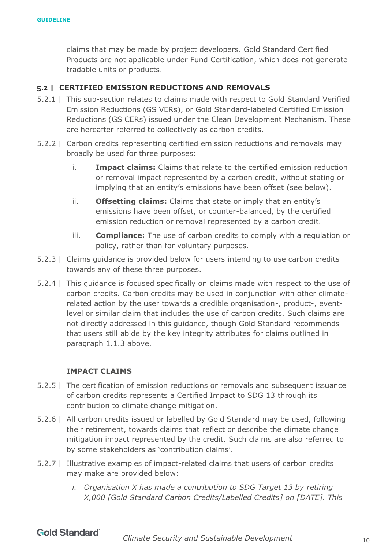claims that may be made by project developers. Gold Standard Certified Products are not applicable under Fund Certification, which does not generate tradable units or products.

### <span id="page-9-0"></span>**5.2 | CERTIFIED EMISSION REDUCTIONS AND REMOVALS**

- 5.2.1 | This sub-section relates to claims made with respect to Gold Standard Verified Emission Reductions (GS VERs), or Gold Standard-labeled Certified Emission Reductions (GS CERs) issued under the Clean Development Mechanism. These are hereafter referred to collectively as carbon credits.
- 5.2.2 | Carbon credits representing certified emission reductions and removals may broadly be used for three purposes:
	- i. **Impact claims:** Claims that relate to the certified emission reduction or removal impact represented by a carbon credit, without stating or implying that an entity's emissions have been offset (see below).
	- ii. **Offsetting claims:** Claims that state or imply that an entity's emissions have been offset, or counter-balanced, by the certified emission reduction or removal represented by a carbon credit.
	- iii. **Compliance:** The use of carbon credits to comply with a regulation or policy, rather than for voluntary purposes.
- 5.2.3 | Claims guidance is provided below for users intending to use carbon credits towards any of these three purposes.
- 5.2.4 | This guidance is focused specifically on claims made with respect to the use of carbon credits. Carbon credits may be used in conjunction with other climaterelated action by the user towards a credible organisation-, product-, eventlevel or similar claim that includes the use of carbon credits. Such claims are not directly addressed in this guidance, though Gold Standard recommends that users still abide by the key integrity attributes for claims outlined in paragraph 1.1.3 above.

### **IMPACT CLAIMS**

- 5.2.5 | The certification of emission reductions or removals and subsequent issuance of carbon credits represents a Certified Impact to SDG 13 through its contribution to climate change mitigation.
- 5.2.6 | All carbon credits issued or labelled by Gold Standard may be used, following their retirement, towards claims that reflect or describe the climate change mitigation impact represented by the credit. Such claims are also referred to by some stakeholders as 'contribution claims'.
- 5.2.7 | Illustrative examples of impact-related claims that users of carbon credits may make are provided below:
	- *i. Organisation X has made a contribution to SDG Target 13 by retiring X,000 [Gold Standard Carbon Credits/Labelled Credits] on [DATE]. This*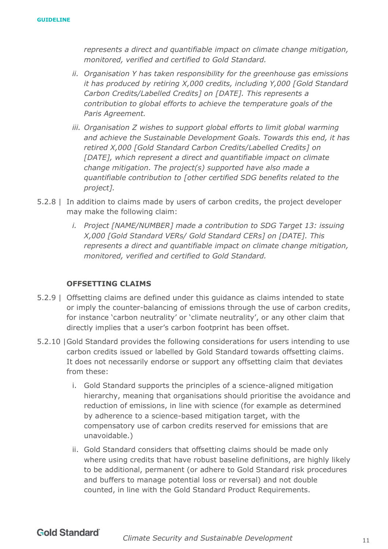*represents a direct and quantifiable impact on climate change mitigation, monitored, verified and certified to Gold Standard.*

- *ii. Organisation Y has taken responsibility for the greenhouse gas emissions it has produced by retiring X,000 credits, including Y,000 [Gold Standard Carbon Credits/Labelled Credits] on [DATE]. This represents a contribution to global efforts to achieve the temperature goals of the Paris Agreement.*
- *iii. Organisation Z wishes to support global efforts to limit global warming and achieve the Sustainable Development Goals. Towards this end, it has retired X,000 [Gold Standard Carbon Credits/Labelled Credits] on [DATE], which represent a direct and quantifiable impact on climate change mitigation. The project(s) supported have also made a quantifiable contribution to [other certified SDG benefits related to the project].*
- 5.2.8 | In addition to claims made by users of carbon credits, the project developer may make the following claim:
	- *i. Project [NAME/NUMBER] made a contribution to SDG Target 13: issuing X,000 [Gold Standard VERs/ Gold Standard CERs] on [DATE]. This represents a direct and quantifiable impact on climate change mitigation, monitored, verified and certified to Gold Standard.*

### **OFFSETTING CLAIMS**

- 5.2.9 | Offsetting claims are defined under this guidance as claims intended to state or imply the counter-balancing of emissions through the use of carbon credits, for instance 'carbon neutrality' or 'climate neutrality', or any other claim that directly implies that a user's carbon footprint has been offset.
- 5.2.10 |Gold Standard provides the following considerations for users intending to use carbon credits issued or labelled by Gold Standard towards offsetting claims. It does not necessarily endorse or support any offsetting claim that deviates from these:
	- i. Gold Standard supports the principles of a science-aligned mitigation hierarchy, meaning that organisations should prioritise the avoidance and reduction of emissions, in line with science (for example as determined by adherence to a science-based mitigation target, with the compensatory use of carbon credits reserved for emissions that are unavoidable.)
	- ii. Gold Standard considers that offsetting claims should be made only where using credits that have robust baseline definitions, are highly likely to be additional, permanent (or adhere to Gold Standard risk procedures and buffers to manage potential loss or reversal) and not double counted, in line with the Gold Standard Product Requirements.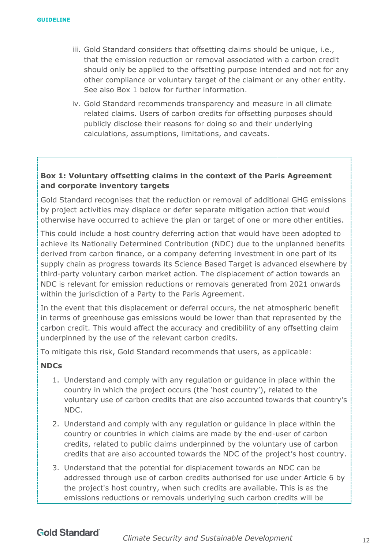- iii. Gold Standard considers that offsetting claims should be unique, i.e., that the emission reduction or removal associated with a carbon credit should only be applied to the offsetting purpose intended and not for any other compliance or voluntary target of the claimant or any other entity. See also Box 1 below for further information.
- iv. Gold Standard recommends transparency and measure in all climate related claims. Users of carbon credits for offsetting purposes should publicly disclose their reasons for doing so and their underlying calculations, assumptions, limitations, and caveats.

## **Box 1: Voluntary offsetting claims in the context of the Paris Agreement and corporate inventory targets**

Gold Standard recognises that the reduction or removal of additional GHG emissions by project activities may displace or defer separate mitigation action that would otherwise have occurred to achieve the plan or target of one or more other entities.

This could include a host country deferring action that would have been adopted to achieve its Nationally Determined Contribution (NDC) due to the unplanned benefits derived from carbon finance, or a company deferring investment in one part of its supply chain as progress towards its Science Based Target is advanced elsewhere by third-party voluntary carbon market action. The displacement of action towards an NDC is relevant for emission reductions or removals generated from 2021 onwards within the jurisdiction of a Party to the Paris Agreement.

In the event that this displacement or deferral occurs, the net atmospheric benefit in terms of greenhouse gas emissions would be lower than that represented by the carbon credit. This would affect the accuracy and credibility of any offsetting claim underpinned by the use of the relevant carbon credits.

To mitigate this risk, Gold Standard recommends that users, as applicable:

### **NDCs**

- 1. Understand and comply with any regulation or guidance in place within the country in which the project occurs (the 'host country'), related to the voluntary use of carbon credits that are also accounted towards that country's NDC.
- 2. Understand and comply with any regulation or guidance in place within the country or countries in which claims are made by the end-user of carbon credits, related to public claims underpinned by the voluntary use of carbon credits that are also accounted towards the NDC of the project's host country.
- 3. Understand that the potential for displacement towards an NDC can be addressed through use of carbon credits authorised for use under Article 6 by the project's host country, when such credits are available. This is as the emissions reductions or removals underlying such carbon credits will be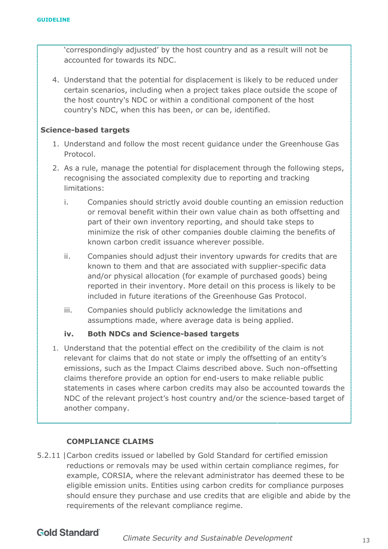'correspondingly adjusted' by the host country and as a result will not be accounted for towards its NDC.

4. Understand that the potential for displacement is likely to be reduced under certain scenarios, including when a project takes place outside the scope of the host country's NDC or within a conditional component of the host country's NDC, when this has been, or can be, identified.

### **Science-based targets**

- 1. Understand and follow the most recent guidance under the Greenhouse Gas Protocol.
- 2. As a rule, manage the potential for displacement through the following steps, recognising the associated complexity due to reporting and tracking limitations:
	- i. Companies should strictly avoid double counting an emission reduction or removal benefit within their own value chain as both offsetting and part of their own inventory reporting, and should take steps to minimize the risk of other companies double claiming the benefits of known carbon credit issuance wherever possible.
	- ii. Companies should adjust their inventory upwards for credits that are known to them and that are associated with supplier-specific data and/or physical allocation (for example of purchased goods) being reported in their inventory. More detail on this process is likely to be included in future iterations of the Greenhouse Gas Protocol.
	- iii. Companies should publicly acknowledge the limitations and assumptions made, where average data is being applied.

### **iv. Both NDCs and Science-based targets**

1. Understand that the potential effect on the credibility of the claim is not relevant for claims that do not state or imply the offsetting of an entity's emissions, such as the Impact Claims described above. Such non-offsetting claims therefore provide an option for end-users to make reliable public statements in cases where carbon credits may also be accounted towards the NDC of the relevant project's host country and/or the science-based target of another company.

### **COMPLIANCE CLAIMS**

5.2.11 |Carbon credits issued or labelled by Gold Standard for certified emission reductions or removals may be used within certain compliance regimes, for example, CORSIA, where the relevant administrator has deemed these to be eligible emission units. Entities using carbon credits for compliance purposes should ensure they purchase and use credits that are eligible and abide by the requirements of the relevant compliance regime.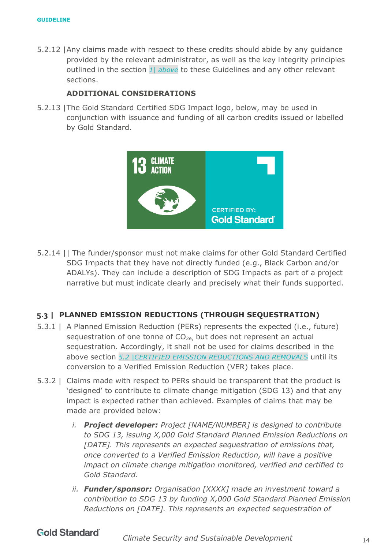5.2.12 |Any claims made with respect to these credits should abide by any guidance provided by the relevant administrator, as well as the key integrity principles outlined in the section *[1| above](#page-2-0)* to these Guidelines and any other relevant sections.

#### **ADDITIONAL CONSIDERATIONS**

5.2.13 |The Gold Standard Certified SDG Impact logo, below, may be used in conjunction with issuance and funding of all carbon credits issued or labelled by Gold Standard.



5.2.14 || The funder/sponsor must not make claims for other Gold Standard Certified SDG Impacts that they have not directly funded (e.g., Black Carbon and/or ADALYs). They can include a description of SDG Impacts as part of a project narrative but must indicate clearly and precisely what their funds supported.

### <span id="page-13-0"></span>**5.3 | PLANNED EMISSION REDUCTIONS (THROUGH SEQUESTRATION)**

- 5.3.1 | A Planned Emission Reduction (PERs) represents the expected (i.e., future) sequestration of one tonne of CO<sub>2e,</sub> but does not represent an actual sequestration. Accordingly, it shall not be used for claims described in the above section *[5.2 |C](#page-9-0)ERTIFIED EMISSION [REDUCTIONS AND REMOVALS](#page-9-0)* until its conversion to a Verified Emission Reduction (VER) takes place.
- 5.3.2 | Claims made with respect to PERs should be transparent that the product is 'designed' to contribute to climate change mitigation (SDG 13) and that any impact is expected rather than achieved. Examples of claims that may be made are provided below:
	- *i. Project developer: Project [NAME/NUMBER] is designed to contribute to SDG 13, issuing X,000 Gold Standard Planned Emission Reductions on [DATE]. This represents an expected sequestration of emissions that, once converted to a Verified Emission Reduction, will have a positive impact on climate change mitigation monitored, verified and certified to Gold Standard.*
	- *ii. Funder/sponsor: Organisation [XXXX] made an investment toward a contribution to SDG 13 by funding X,000 Gold Standard Planned Emission Reductions on [DATE]. This represents an expected sequestration of*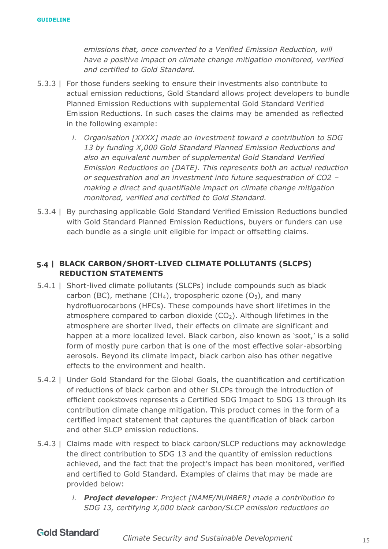*emissions that, once converted to a Verified Emission Reduction, will have a positive impact on climate change mitigation monitored, verified and certified to Gold Standard.* 

- 5.3.3 | For those funders seeking to ensure their investments also contribute to actual emission reductions, Gold Standard allows project developers to bundle Planned Emission Reductions with supplemental Gold Standard Verified Emission Reductions. In such cases the claims may be amended as reflected in the following example:
	- *i. Organisation [XXXX] made an investment toward a contribution to SDG 13 by funding X,000 Gold Standard Planned Emission Reductions and also an equivalent number of supplemental Gold Standard Verified Emission Reductions on [DATE]. This represents both an actual reduction or sequestration and an investment into future sequestration of CO2 – making a direct and quantifiable impact on climate change mitigation monitored, verified and certified to Gold Standard.*
- 5.3.4 | By purchasing applicable Gold Standard Verified Emission Reductions bundled with Gold Standard Planned Emission Reductions, buyers or funders can use each bundle as a single unit eligible for impact or offsetting claims.

## <span id="page-14-0"></span>**5.4 | BLACK CARBON/SHORT-LIVED CLIMATE POLLUTANTS (SLCPS) REDUCTION STATEMENTS**

- 5.4.1 | Short-lived climate pollutants (SLCPs) include compounds such as black carbon (BC), methane (CH<sub>4</sub>), tropospheric ozone  $(O_3)$ , and many hydrofluorocarbons (HFCs). These compounds have short lifetimes in the atmosphere compared to carbon dioxide  $(CO<sub>2</sub>)$ . Although lifetimes in the atmosphere are shorter lived, their effects on climate are significant and happen at a more localized level. Black carbon, also known as 'soot,' is a solid form of mostly pure carbon that is one of the most effective solar-absorbing aerosols. Beyond its climate impact, black carbon also has other negative effects to the environment and health.
- 5.4.2 | Under Gold Standard for the Global Goals, the quantification and certification of reductions of black carbon and other SLCPs through the introduction of efficient cookstoves represents a Certified SDG Impact to SDG 13 through its contribution climate change mitigation. This product comes in the form of a certified impact statement that captures the quantification of black carbon and other SLCP emission reductions.
- 5.4.3 | Claims made with respect to black carbon/SLCP reductions may acknowledge the direct contribution to SDG 13 and the quantity of emission reductions achieved, and the fact that the project's impact has been monitored, verified and certified to Gold Standard. Examples of claims that may be made are provided below:
	- *i. Project developer: Project [NAME/NUMBER] made a contribution to SDG 13, certifying X,000 black carbon/SLCP emission reductions on*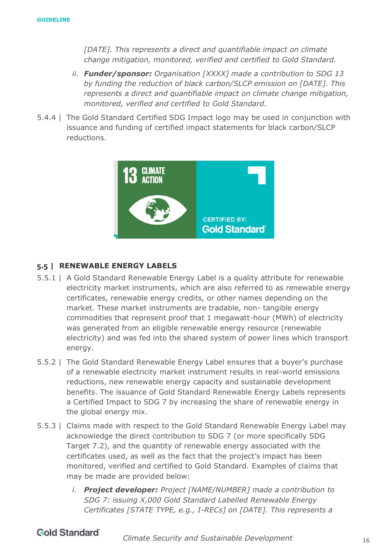[DATE]. This represents a direct and quantifiable impact on climate *change mitigation, monitored, verified and certified to Gold Standard.* 

- *ii. Funder/sponsor: Organisation [XXXX] made a contribution to SDG 13 by funding the reduction of black carbon/SLCP emission on [DATE]. This represents a direct and quantifiable impact on climate change mitigation, monitored, verified and certified to Gold Standard.*
- 5.4.4 | The Gold Standard Certified SDG Impact logo may be used in conjunction with issuance and funding of certified impact statements for black carbon/SLCP reductions.



### <span id="page-15-0"></span>**5.5 | RENEWABLE ENERGY LABELS**

- 5.5.1 | A Gold Standard Renewable Energy Label is a quality attribute for renewable electricity market instruments, which are also referred to as renewable energy certificates, renewable energy credits, or other names depending on the market. These market instruments are tradable, non- tangible energy commodities that represent proof that 1 megawatt-hour (MWh) of electricity was generated from an eligible renewable energy resource (renewable electricity) and was fed into the shared system of power lines which transport energy.
- 5.5.2 | The Gold Standard Renewable Energy Label ensures that a buyer's purchase of a renewable electricity market instrument results in real-world emissions reductions, new renewable energy capacity and sustainable development benefits. The issuance of Gold Standard Renewable Energy Labels represents a Certified Impact to SDG 7 by increasing the share of renewable energy in the global energy mix.
- 5.5.3 | Claims made with respect to the Gold Standard Renewable Energy Label may acknowledge the direct contribution to SDG 7 (or more specifically SDG Target 7.2), and the quantity of renewable energy associated with the certificates used, as well as the fact that the project's impact has been monitored, verified and certified to Gold Standard. Examples of claims that may be made are provided below:
	- *i. Project developer: Project [NAME/NUMBER] made a contribution to SDG 7: issuing X,000 Gold Standard Labelled Renewable Energy Certificates [STATE TYPE, e.g., I-RECs] on [DATE]. This represents a*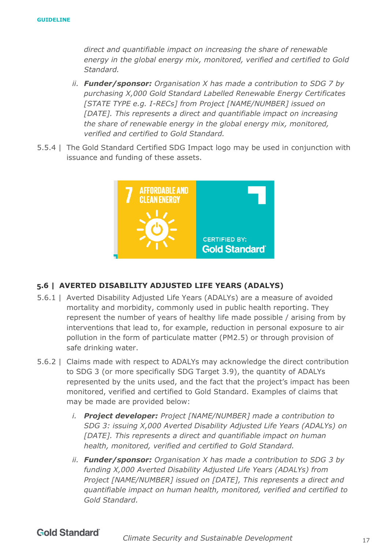*direct and quantifiable impact on increasing the share of renewable energy in the global energy mix, monitored, verified and certified to Gold Standard.* 

- *ii. Funder/sponsor: Organisation X has made a contribution to SDG 7 by purchasing X,000 Gold Standard Labelled Renewable Energy Certificates [STATE TYPE e.g. I-RECs] from Project [NAME/NUMBER] issued on [DATE]. This represents a direct and quantifiable impact on increasing the share of renewable energy in the global energy mix, monitored, verified and certified to Gold Standard.*
- 5.5.4 | The Gold Standard Certified SDG Impact logo may be used in conjunction with issuance and funding of these assets.



### <span id="page-16-0"></span>**5.6 | AVERTED DISABILITY ADJUSTED LIFE YEARS (ADALYS)**

- 5.6.1 | Averted Disability Adjusted Life Years (ADALYs) are a measure of avoided mortality and morbidity, commonly used in public health reporting. They represent the number of years of healthy life made possible / arising from by interventions that lead to, for example, reduction in personal exposure to air pollution in the form of particulate matter (PM2.5) or through provision of safe drinking water.
- 5.6.2 | Claims made with respect to ADALYs may acknowledge the direct contribution to SDG 3 (or more specifically SDG Target 3.9), the quantity of ADALYs represented by the units used, and the fact that the project's impact has been monitored, verified and certified to Gold Standard. Examples of claims that may be made are provided below:
	- *i. Project developer: Project [NAME/NUMBER] made a contribution to SDG 3: issuing X,000 Averted Disability Adjusted Life Years (ADALYs) on [DATE]. This represents a direct and quantifiable impact on human health, monitored, verified and certified to Gold Standard.*
	- *ii. Funder/sponsor: Organisation X has made a contribution to SDG 3 by funding X,000 Averted Disability Adjusted Life Years (ADALYs) from Project [NAME/NUMBER] issued on [DATE], This represents a direct and quantifiable impact on human health, monitored, verified and certified to Gold Standard.*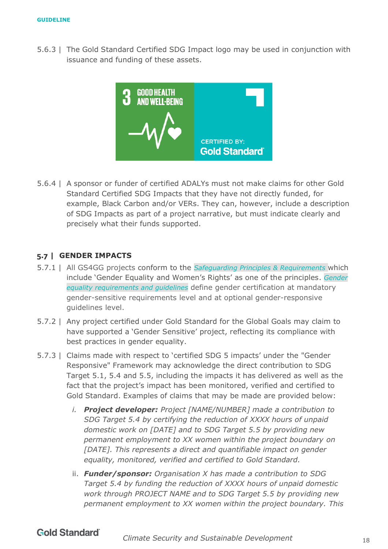5.6.3 | The Gold Standard Certified SDG Impact logo may be used in conjunction with issuance and funding of these assets.



5.6.4 | A sponsor or funder of certified ADALYs must not make claims for other Gold Standard Certified SDG Impacts that they have not directly funded, for example, Black Carbon and/or VERs. They can, however, include a description of SDG Impacts as part of a project narrative, but must indicate clearly and precisely what their funds supported.

### <span id="page-17-0"></span>**5.7 | GENDER IMPACTS**

- 5.7.1 | All GS4GG projects conform to the *[Safeguarding Principles & Requirements](https://globalgoals.goldstandard.org/103-par-safeguarding-principles-requirements/)* which include 'Gender Equality and Women's Rights' as one of the principles. *[Gender](https://globalgoals.goldstandard.org/104-par-gender-equality-requirements-and-guidelines/)  [equality requirements and guidelines](https://globalgoals.goldstandard.org/104-par-gender-equality-requirements-and-guidelines/)* define gender certification at mandatory gender-sensitive requirements level and at optional gender-responsive guidelines level.
- 5.7.2 | Any project certified under Gold Standard for the Global Goals may claim to have supported a 'Gender Sensitive' project, reflecting its compliance with best practices in gender equality.
- 5.7.3 | Claims made with respect to 'certified SDG 5 impacts' under the "Gender Responsive" Framework may acknowledge the direct contribution to SDG Target 5.1, 5.4 and 5.5, including the impacts it has delivered as well as the fact that the project's impact has been monitored, verified and certified to Gold Standard. Examples of claims that may be made are provided below:
	- *i. Project developer: Project [NAME/NUMBER] made a contribution to SDG Target 5.4 by certifying the reduction of XXXX hours of unpaid domestic work on [DATE] and to SDG Target 5.5 by providing new permanent employment to XX women within the project boundary on*  [DATE]. This represents a direct and quantifiable impact on gender *equality, monitored, verified and certified to Gold Standard.*
	- ii. *Funder/sponsor: Organisation X has made a contribution to SDG Target 5.4 by funding the reduction of XXXX hours of unpaid domestic work through PROJECT NAME and to SDG Target 5.5 by providing new permanent employment to XX women within the project boundary. This*